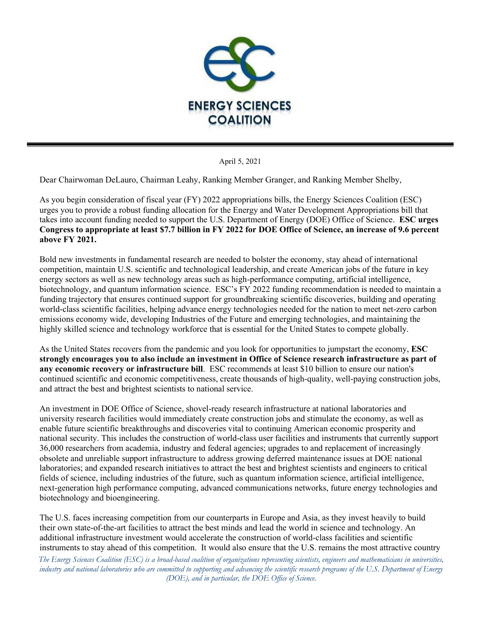

April 5, 2021

Dear Chairwoman DeLauro, Chairman Leahy, Ranking Member Granger, and Ranking Member Shelby,

As you begin consideration of fiscal year (FY) 2022 appropriations bills, the Energy Sciences Coalition (ESC) urges you to provide a robust funding allocation for the Energy and Water Development Appropriations bill that takes into account funding needed to support the U.S. Department of Energy (DOE) Office of Science. **ESC urges Congress to appropriate at least \$7.7 billion in FY 2022 for DOE Office of Science, an increase of 9.6 percent above FY 2021.** 

Bold new investments in fundamental research are needed to bolster the economy, stay ahead of international competition, maintain U.S. scientific and technological leadership, and create American jobs of the future in key energy sectors as well as new technology areas such as high-performance computing, artificial intelligence, biotechnology, and quantum information science.ESC's FY 2022 funding recommendation is needed to maintain a funding trajectory that ensures continued support for groundbreaking scientific discoveries, building and operating world-class scientific facilities, helping advance energy technologies needed for the nation to meet net-zero carbon emissions economy wide, developing Industries of the Future and emerging technologies, and maintaining the highly skilled science and technology workforce that is essential for the United States to compete globally.

As the United States recovers from the pandemic and you look for opportunities to jumpstart the economy, **ESC strongly encourages you to also include an investment in Office of Science research infrastructure as part of any economic recovery or infrastructure bill**. ESC recommends at least \$10 billion to ensure our nation's continued scientific and economic competitiveness, create thousands of high-quality, well-paying construction jobs, and attract the best and brightest scientists to national service.

An investment in DOE Office of Science, shovel-ready research infrastructure at national laboratories and university research facilities would immediately create construction jobs and stimulate the economy, as well as enable future scientific breakthroughs and discoveries vital to continuing American economic prosperity and national security. This includes the construction of world-class user facilities and instruments that currently support 36,000 researchers from academia, industry and federal agencies; upgrades to and replacement of increasingly obsolete and unreliable support infrastructure to address growing deferred maintenance issues at DOE national laboratories; and expanded research initiatives to attract the best and brightest scientists and engineers to critical fields of science, including industries of the future, such as quantum information science, artificial intelligence, next-generation high performance computing, advanced communications networks, future energy technologies and biotechnology and bioengineering.

The U.S. faces increasing competition from our counterparts in Europe and Asia, as they invest heavily to build their own state-of-the-art facilities to attract the best minds and lead the world in science and technology. An additional infrastructure investment would accelerate the construction of world-class facilities and scientific instruments to stay ahead of this competition. It would also ensure that the U.S. remains the most attractive country

*The Energy Sciences Coalition (ESC) is a broad-based coalition of organizations representing scientists, engineers and mathematicians in universities, industry and national laboratories who are committed to supporting and advancing the scientific research programs of the U.S. Department of Energy (DOE), and in particular, the DOE Office of Science.*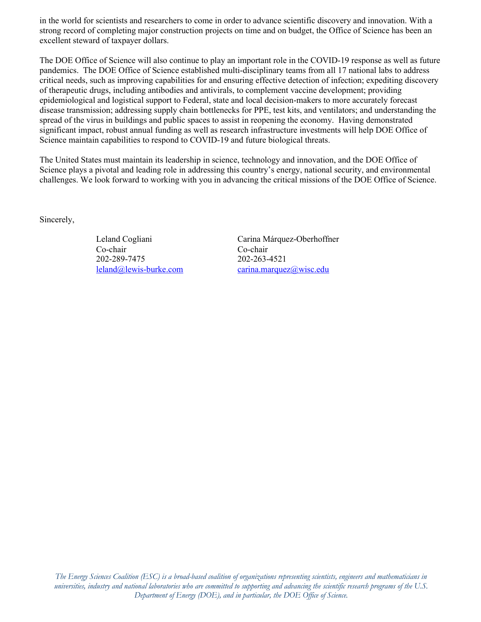in the world for scientists and researchers to come in order to advance scientific discovery and innovation. With a strong record of completing major construction projects on time and on budget, the Office of Science has been an excellent steward of taxpayer dollars.

The DOE Office of Science will also continue to play an important role in the COVID-19 response as well as future pandemics. The DOE Office of Science established multi-disciplinary teams from all 17 national labs to address critical needs, such as improving capabilities for and ensuring effective detection of infection; expediting discovery of therapeutic drugs, including antibodies and antivirals, to complement vaccine development; providing epidemiological and logistical support to Federal, state and local decision-makers to more accurately forecast disease transmission; addressing supply chain bottlenecks for PPE, test kits, and ventilators; and understanding the spread of the virus in buildings and public spaces to assist in reopening the economy. Having demonstrated significant impact, robust annual funding as well as research infrastructure investments will help DOE Office of Science maintain capabilities to respond to COVID-19 and future biological threats.

The United States must maintain its leadership in science, technology and innovation, and the DOE Office of Science plays a pivotal and leading role in addressing this country's energy, national security, and environmental challenges. We look forward to working with you in advancing the critical missions of the DOE Office of Science.

Sincerely,

Co-chair Co-chair 202-289-7475 202-263-4521

Leland Cogliani Carina Márquez-Oberhoffner [leland@lewis-burke.com](mailto:leland@lewis-burke.com) [carina.marquez@wisc.edu](mailto:carina.marquez@wisc.edu)